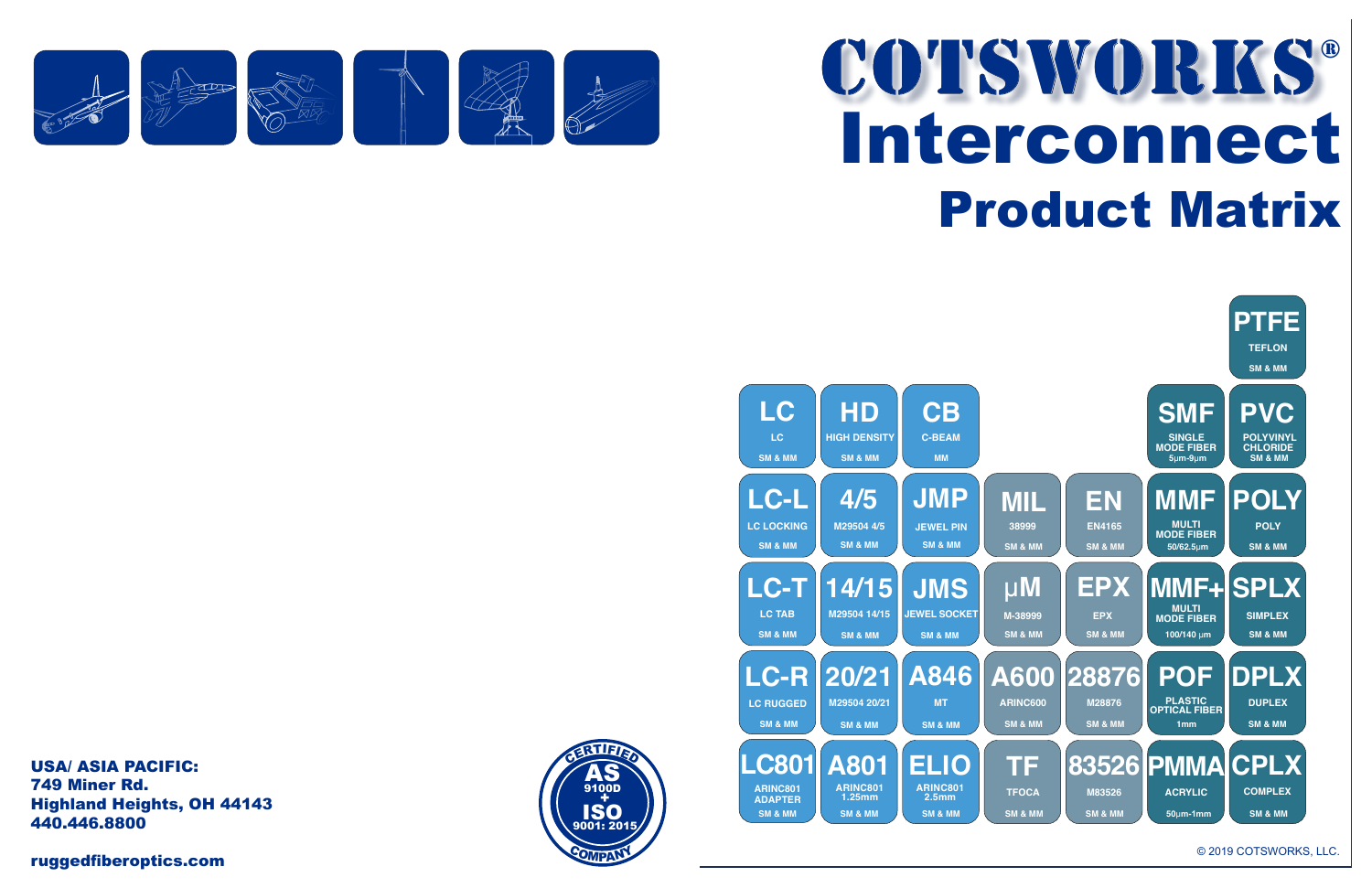ruggedfiberoptics.com

## Interconnect<br>Product Matrix Product Matrix COTSWORKS®

© 2019 COTSWORKS, LLC.

USA/ ASIA PACIFIC:<br>740 PH 749 Miner Rd. Highland Heights, OH 44143 **5G-SX-RX 5G-SX-C** 440.446.8800 **850nm 3G-LX-DPLX**